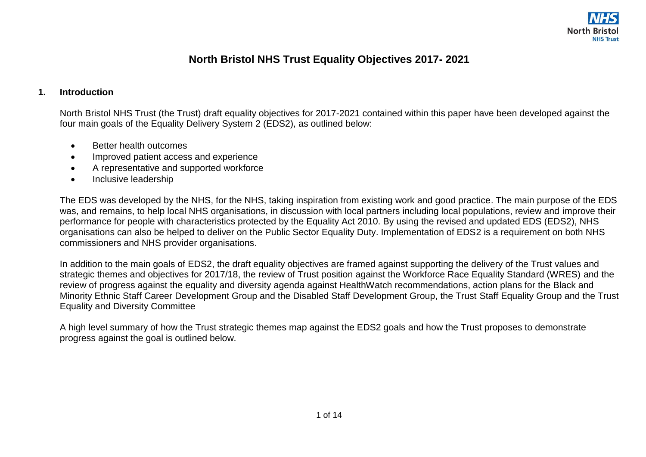

## **North Bristol NHS Trust Equality Objectives 2017- 2021**

## **1. Introduction**

North Bristol NHS Trust (the Trust) draft equality objectives for 2017-2021 contained within this paper have been developed against the four main goals of the Equality Delivery System 2 (EDS2), as outlined below:

- Better health outcomes
- Improved patient access and experience
- A representative and supported workforce
- Inclusive leadership

The EDS was developed by the NHS, for the NHS, taking inspiration from existing work and good practice. The main purpose of the EDS was, and remains, to help local NHS organisations, in discussion with local partners including local populations, review and improve their performance for people with characteristics protected by the Equality Act 2010. By using the revised and updated EDS (EDS2), NHS organisations can also be helped to deliver on the Public Sector Equality Duty. Implementation of EDS2 is a requirement on both NHS commissioners and NHS provider organisations.

In addition to the main goals of EDS2, the draft equality objectives are framed against supporting the delivery of the Trust values and strategic themes and objectives for 2017/18, the review of Trust position against the Workforce Race Equality Standard (WRES) and the review of progress against the equality and diversity agenda against HealthWatch recommendations, action plans for the Black and Minority Ethnic Staff Career Development Group and the Disabled Staff Development Group, the Trust Staff Equality Group and the Trust Equality and Diversity Committee

A high level summary of how the Trust strategic themes map against the EDS2 goals and how the Trust proposes to demonstrate progress against the goal is outlined below.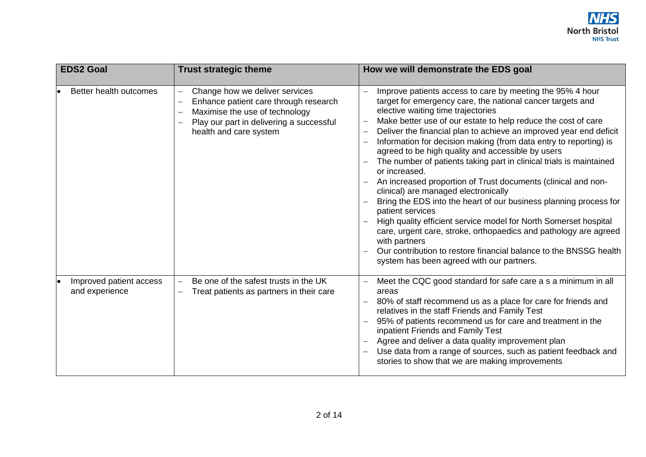

| <b>EDS2 Goal</b>                          | <b>Trust strategic theme</b>                                                                                                                                                    | How we will demonstrate the EDS goal                                                                                                                                                                                                                                                                                                                                                                                                                                                                                                                                                                                                                                                                                                                                                                                                                                                                                                                                                                                            |
|-------------------------------------------|---------------------------------------------------------------------------------------------------------------------------------------------------------------------------------|---------------------------------------------------------------------------------------------------------------------------------------------------------------------------------------------------------------------------------------------------------------------------------------------------------------------------------------------------------------------------------------------------------------------------------------------------------------------------------------------------------------------------------------------------------------------------------------------------------------------------------------------------------------------------------------------------------------------------------------------------------------------------------------------------------------------------------------------------------------------------------------------------------------------------------------------------------------------------------------------------------------------------------|
| Better health outcomes                    | Change how we deliver services<br>Enhance patient care through research<br>Maximise the use of technology<br>Play our part in delivering a successful<br>health and care system | Improve patients access to care by meeting the 95% 4 hour<br>$\overline{\phantom{0}}$<br>target for emergency care, the national cancer targets and<br>elective waiting time trajectories<br>Make better use of our estate to help reduce the cost of care<br>Deliver the financial plan to achieve an improved year end deficit<br>Information for decision making (from data entry to reporting) is<br>agreed to be high quality and accessible by users<br>The number of patients taking part in clinical trials is maintained<br>or increased.<br>An increased proportion of Trust documents (clinical and non-<br>clinical) are managed electronically<br>Bring the EDS into the heart of our business planning process for<br>patient services<br>High quality efficient service model for North Somerset hospital<br>care, urgent care, stroke, orthopaedics and pathology are agreed<br>with partners<br>Our contribution to restore financial balance to the BNSSG health<br>system has been agreed with our partners. |
| Improved patient access<br>and experience | Be one of the safest trusts in the UK<br>$\equiv$<br>Treat patients as partners in their care                                                                                   | Meet the CQC good standard for safe care a s a minimum in all<br>$\qquad \qquad -$<br>areas<br>80% of staff recommend us as a place for care for friends and<br>relatives in the staff Friends and Family Test<br>95% of patients recommend us for care and treatment in the<br>inpatient Friends and Family Test<br>Agree and deliver a data quality improvement plan<br>Use data from a range of sources, such as patient feedback and<br>stories to show that we are making improvements                                                                                                                                                                                                                                                                                                                                                                                                                                                                                                                                     |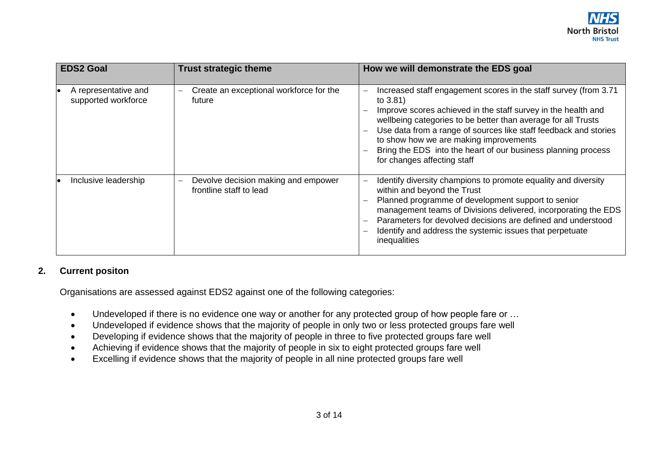

| <b>EDS2 Goal</b>                            | <b>Trust strategic theme</b>                                                               | How we will demonstrate the EDS goal                                                                                                                                                                                                                                                                                                                                                                                                                 |
|---------------------------------------------|--------------------------------------------------------------------------------------------|------------------------------------------------------------------------------------------------------------------------------------------------------------------------------------------------------------------------------------------------------------------------------------------------------------------------------------------------------------------------------------------------------------------------------------------------------|
| A representative and<br>supported workforce | Create an exceptional workforce for the<br>$\overline{\phantom{0}}$<br>future              | Increased staff engagement scores in the staff survey (from 3.71<br>$\qquad \qquad -$<br>to $3.81$ )<br>Improve scores achieved in the staff survey in the health and<br>wellbeing categories to be better than average for all Trusts<br>Use data from a range of sources like staff feedback and stories<br>to show how we are making improvements<br>Bring the EDS into the heart of our business planning process<br>for changes affecting staff |
| Inclusive leadership                        | Devolve decision making and empower<br>$\overline{\phantom{0}}$<br>frontline staff to lead | Identify diversity champions to promote equality and diversity<br>$\overline{\phantom{0}}$<br>within and beyond the Trust<br>Planned programme of development support to senior<br>management teams of Divisions delivered, incorporating the EDS<br>Parameters for devolved decisions are defined and understood<br>Identify and address the systemic issues that perpetuate<br>inequalities                                                        |

## **2. Current positon**

Organisations are assessed against EDS2 against one of the following categories:

- Undeveloped if there is no evidence one way or another for any protected group of how people fare or …
- Undeveloped if evidence shows that the majority of people in only two or less protected groups fare well
- Developing if evidence shows that the majority of people in three to five protected groups fare well
- Achieving if evidence shows that the majority of people in six to eight protected groups fare well
- Excelling if evidence shows that the majority of people in all nine protected groups fare well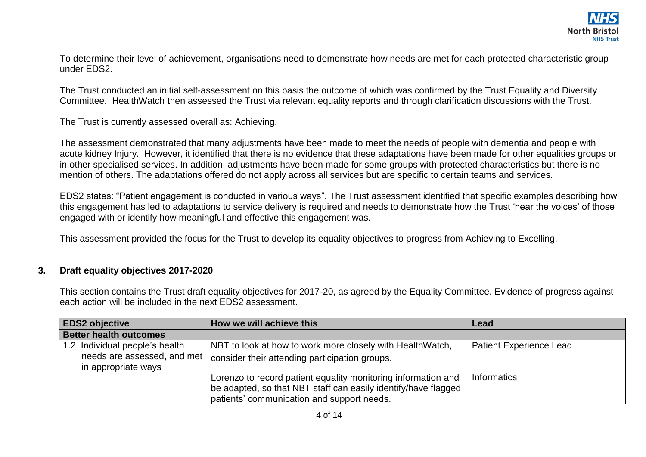To determine their level of achievement, organisations need to demonstrate how needs are met for each protected characteristic group under EDS2.

The Trust conducted an initial self-assessment on this basis the outcome of which was confirmed by the Trust Equality and Diversity Committee. HealthWatch then assessed the Trust via relevant equality reports and through clarification discussions with the Trust.

The Trust is currently assessed overall as: Achieving.

The assessment demonstrated that many adjustments have been made to meet the needs of people with dementia and people with acute kidney Injury. However, it identified that there is no evidence that these adaptations have been made for other equalities groups or in other specialised services. In addition, adjustments have been made for some groups with protected characteristics but there is no mention of others. The adaptations offered do not apply across all services but are specific to certain teams and services.

EDS2 states: "Patient engagement is conducted in various ways". The Trust assessment identified that specific examples describing how this engagement has led to adaptations to service delivery is required and needs to demonstrate how the Trust 'hear the voices' of those engaged with or identify how meaningful and effective this engagement was.

This assessment provided the focus for the Trust to develop its equality objectives to progress from Achieving to Excelling.

## **3. Draft equality objectives 2017-2020**

This section contains the Trust draft equality objectives for 2017-20, as agreed by the Equality Committee. Evidence of progress against each action will be included in the next EDS2 assessment.

| <b>EDS2 objective</b>                                                                | How we will achieve this                                                                                                                                                      | Lead                           |
|--------------------------------------------------------------------------------------|-------------------------------------------------------------------------------------------------------------------------------------------------------------------------------|--------------------------------|
| <b>Better health outcomes</b>                                                        |                                                                                                                                                                               |                                |
| 1.2 Individual people's health<br>needs are assessed, and met<br>in appropriate ways | NBT to look at how to work more closely with HealthWatch,<br>consider their attending participation groups.                                                                   | <b>Patient Experience Lead</b> |
|                                                                                      | Lorenzo to record patient equality monitoring information and<br>be adapted, so that NBT staff can easily identify/have flagged<br>patients' communication and support needs. | Informatics                    |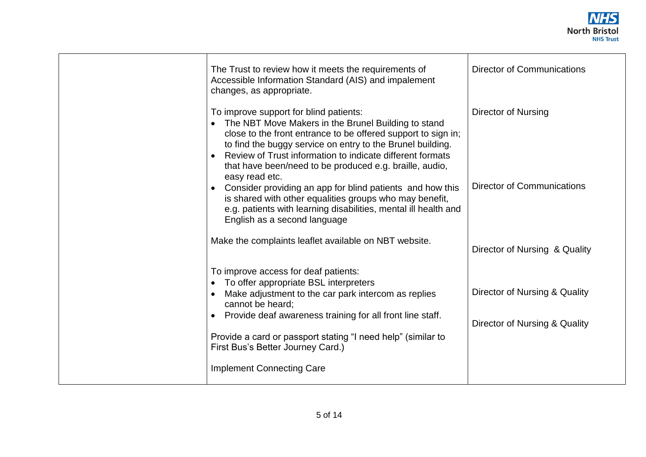

| The Trust to review how it meets the requirements of<br>Accessible Information Standard (AIS) and impalement<br>changes, as appropriate.                                                                                                                                                                                                                               | <b>Director of Communications</b>                 |
|------------------------------------------------------------------------------------------------------------------------------------------------------------------------------------------------------------------------------------------------------------------------------------------------------------------------------------------------------------------------|---------------------------------------------------|
| To improve support for blind patients:<br>The NBT Move Makers in the Brunel Building to stand<br>close to the front entrance to be offered support to sign in;<br>to find the buggy service on entry to the Brunel building.<br>Review of Trust information to indicate different formats<br>that have been/need to be produced e.g. braille, audio,<br>easy read etc. | Director of Nursing<br>Director of Communications |
| Consider providing an app for blind patients and how this<br>is shared with other equalities groups who may benefit,<br>e.g. patients with learning disabilities, mental ill health and<br>English as a second language                                                                                                                                                |                                                   |
| Make the complaints leaflet available on NBT website.                                                                                                                                                                                                                                                                                                                  | Director of Nursing & Quality                     |
| To improve access for deaf patients:<br>To offer appropriate BSL interpreters<br>Make adjustment to the car park intercom as replies<br>cannot be heard:                                                                                                                                                                                                               | Director of Nursing & Quality                     |
| Provide deaf awareness training for all front line staff.<br>Provide a card or passport stating "I need help" (similar to<br>First Bus's Better Journey Card.)                                                                                                                                                                                                         | Director of Nursing & Quality                     |
| <b>Implement Connecting Care</b>                                                                                                                                                                                                                                                                                                                                       |                                                   |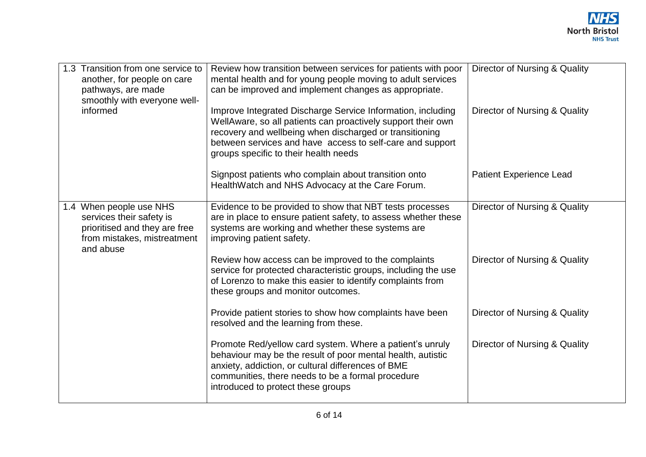| 1.3 Transition from one service to<br>another, for people on care<br>pathways, are made                                          | Review how transition between services for patients with poor<br>mental health and for young people moving to adult services<br>can be improved and implement changes as appropriate.                                                                                                        | Director of Nursing & Quality  |
|----------------------------------------------------------------------------------------------------------------------------------|----------------------------------------------------------------------------------------------------------------------------------------------------------------------------------------------------------------------------------------------------------------------------------------------|--------------------------------|
| smoothly with everyone well-                                                                                                     |                                                                                                                                                                                                                                                                                              |                                |
| informed                                                                                                                         | Improve Integrated Discharge Service Information, including<br>WellAware, so all patients can proactively support their own<br>recovery and wellbeing when discharged or transitioning<br>between services and have access to self-care and support<br>groups specific to their health needs | Director of Nursing & Quality  |
|                                                                                                                                  | Signpost patients who complain about transition onto<br>HealthWatch and NHS Advocacy at the Care Forum.                                                                                                                                                                                      | <b>Patient Experience Lead</b> |
| 1.4 When people use NHS<br>services their safety is<br>prioritised and they are free<br>from mistakes, mistreatment<br>and abuse | Evidence to be provided to show that NBT tests processes<br>are in place to ensure patient safety, to assess whether these<br>systems are working and whether these systems are<br>improving patient safety.                                                                                 | Director of Nursing & Quality  |
|                                                                                                                                  | Review how access can be improved to the complaints<br>service for protected characteristic groups, including the use<br>of Lorenzo to make this easier to identify complaints from<br>these groups and monitor outcomes.                                                                    | Director of Nursing & Quality  |
|                                                                                                                                  | Provide patient stories to show how complaints have been<br>resolved and the learning from these.                                                                                                                                                                                            | Director of Nursing & Quality  |
|                                                                                                                                  | Promote Red/yellow card system. Where a patient's unruly<br>behaviour may be the result of poor mental health, autistic<br>anxiety, addiction, or cultural differences of BME<br>communities, there needs to be a formal procedure<br>introduced to protect these groups                     | Director of Nursing & Quality  |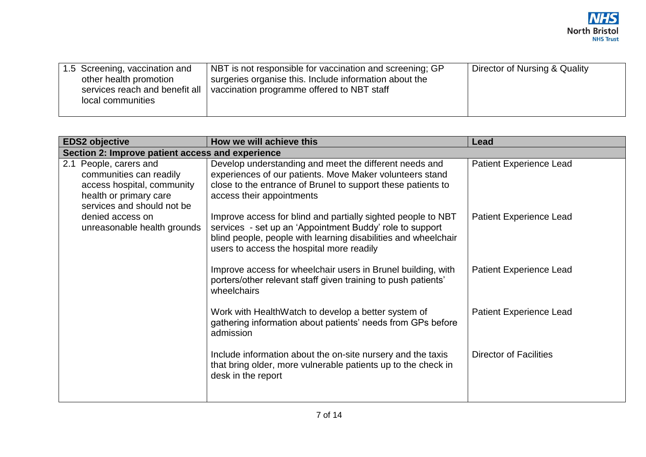| 1.5 Screening, vaccination and<br>Director of Nursing & Quality<br>NBT is not responsible for vaccination and screening; GP<br>surgeries organise this. Include information about the<br>other health promotion<br>vaccination programme offered to NBT staff<br>services reach and benefit all<br>local communities |  |
|----------------------------------------------------------------------------------------------------------------------------------------------------------------------------------------------------------------------------------------------------------------------------------------------------------------------|--|
|----------------------------------------------------------------------------------------------------------------------------------------------------------------------------------------------------------------------------------------------------------------------------------------------------------------------|--|

| <b>EDS2 objective</b>                                                                                                                   | How we will achieve this                                                                                                                                                                                                                | Lead                           |
|-----------------------------------------------------------------------------------------------------------------------------------------|-----------------------------------------------------------------------------------------------------------------------------------------------------------------------------------------------------------------------------------------|--------------------------------|
| Section 2: Improve patient access and experience                                                                                        |                                                                                                                                                                                                                                         |                                |
| 2.1 People, carers and<br>communities can readily<br>access hospital, community<br>health or primary care<br>services and should not be | Develop understanding and meet the different needs and<br>experiences of our patients. Move Maker volunteers stand<br>close to the entrance of Brunel to support these patients to<br>access their appointments                         | <b>Patient Experience Lead</b> |
| denied access on<br>unreasonable health grounds                                                                                         | Improve access for blind and partially sighted people to NBT<br>services - set up an 'Appointment Buddy' role to support<br>blind people, people with learning disabilities and wheelchair<br>users to access the hospital more readily | <b>Patient Experience Lead</b> |
|                                                                                                                                         | Improve access for wheelchair users in Brunel building, with<br>porters/other relevant staff given training to push patients'<br>wheelchairs                                                                                            | <b>Patient Experience Lead</b> |
|                                                                                                                                         | Work with HealthWatch to develop a better system of<br>gathering information about patients' needs from GPs before<br>admission                                                                                                         | <b>Patient Experience Lead</b> |
|                                                                                                                                         | Include information about the on-site nursery and the taxis<br>that bring older, more vulnerable patients up to the check in<br>desk in the report                                                                                      | <b>Director of Facilities</b>  |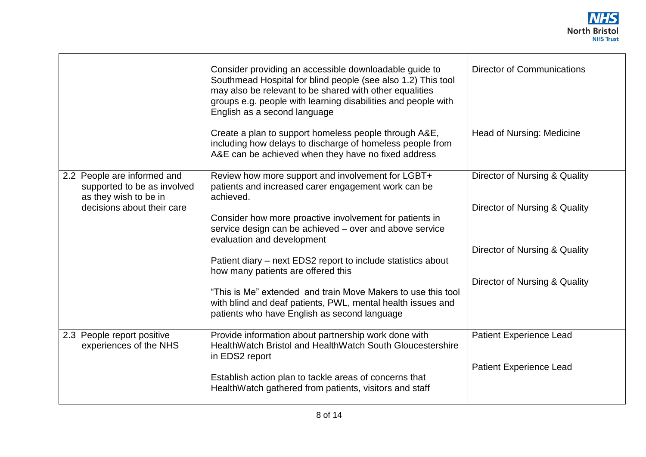

|                                                                                     | Consider providing an accessible downloadable guide to<br>Southmead Hospital for blind people (see also 1.2) This tool<br>may also be relevant to be shared with other equalities<br>groups e.g. people with learning disabilities and people with<br>English as a second language | <b>Director of Communications</b> |
|-------------------------------------------------------------------------------------|------------------------------------------------------------------------------------------------------------------------------------------------------------------------------------------------------------------------------------------------------------------------------------|-----------------------------------|
|                                                                                     | Create a plan to support homeless people through A&E,<br>including how delays to discharge of homeless people from<br>A&E can be achieved when they have no fixed address                                                                                                          | <b>Head of Nursing: Medicine</b>  |
| 2.2 People are informed and<br>supported to be as involved<br>as they wish to be in | Review how more support and involvement for LGBT+<br>patients and increased carer engagement work can be<br>achieved.                                                                                                                                                              | Director of Nursing & Quality     |
| decisions about their care                                                          | Consider how more proactive involvement for patients in<br>service design can be achieved - over and above service<br>evaluation and development                                                                                                                                   | Director of Nursing & Quality     |
|                                                                                     | Patient diary – next EDS2 report to include statistics about<br>how many patients are offered this                                                                                                                                                                                 | Director of Nursing & Quality     |
|                                                                                     | "This is Me" extended and train Move Makers to use this tool<br>with blind and deaf patients, PWL, mental health issues and<br>patients who have English as second language                                                                                                        | Director of Nursing & Quality     |
| 2.3 People report positive<br>experiences of the NHS                                | Provide information about partnership work done with<br>HealthWatch Bristol and HealthWatch South Gloucestershire<br>in EDS2 report                                                                                                                                                | <b>Patient Experience Lead</b>    |
|                                                                                     | Establish action plan to tackle areas of concerns that<br>HealthWatch gathered from patients, visitors and staff                                                                                                                                                                   | <b>Patient Experience Lead</b>    |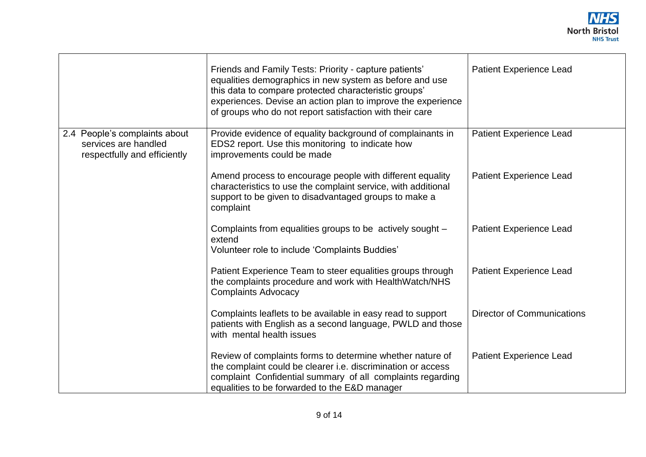

|                                                                                       | Friends and Family Tests: Priority - capture patients'<br>equalities demographics in new system as before and use<br>this data to compare protected characteristic groups'<br>experiences. Devise an action plan to improve the experience<br>of groups who do not report satisfaction with their care | <b>Patient Experience Lead</b>    |
|---------------------------------------------------------------------------------------|--------------------------------------------------------------------------------------------------------------------------------------------------------------------------------------------------------------------------------------------------------------------------------------------------------|-----------------------------------|
| 2.4 People's complaints about<br>services are handled<br>respectfully and efficiently | Provide evidence of equality background of complainants in<br>EDS2 report. Use this monitoring to indicate how<br>improvements could be made                                                                                                                                                           | <b>Patient Experience Lead</b>    |
|                                                                                       | Amend process to encourage people with different equality<br>characteristics to use the complaint service, with additional<br>support to be given to disadvantaged groups to make a<br>complaint                                                                                                       | Patient Experience Lead           |
|                                                                                       | Complaints from equalities groups to be actively sought -<br>extend<br>Volunteer role to include 'Complaints Buddies'                                                                                                                                                                                  | <b>Patient Experience Lead</b>    |
|                                                                                       | Patient Experience Team to steer equalities groups through<br>the complaints procedure and work with HealthWatch/NHS<br><b>Complaints Advocacy</b>                                                                                                                                                     | <b>Patient Experience Lead</b>    |
|                                                                                       | Complaints leaflets to be available in easy read to support<br>patients with English as a second language, PWLD and those<br>with mental health issues                                                                                                                                                 | <b>Director of Communications</b> |
|                                                                                       | Review of complaints forms to determine whether nature of<br>the complaint could be clearer <i>i.e.</i> discrimination or access<br>complaint Confidential summary of all complaints regarding<br>equalities to be forwarded to the E&D manager                                                        | Patient Experience Lead           |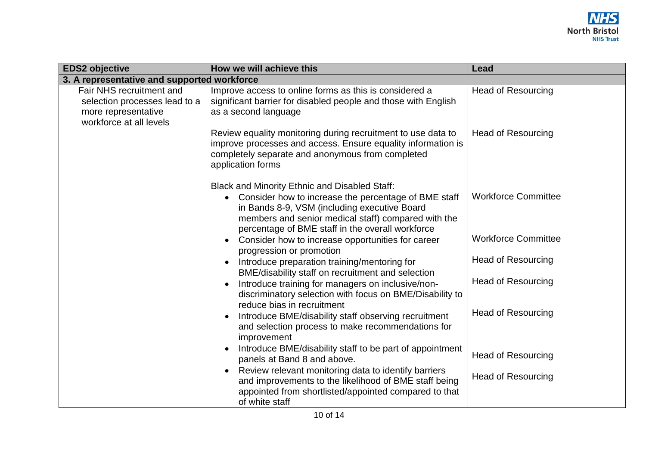

| <b>EDS2 objective</b>                                                                                       | How we will achieve this                                                                                                                                                                                                                                                             | Lead                       |
|-------------------------------------------------------------------------------------------------------------|--------------------------------------------------------------------------------------------------------------------------------------------------------------------------------------------------------------------------------------------------------------------------------------|----------------------------|
| 3. A representative and supported workforce                                                                 |                                                                                                                                                                                                                                                                                      |                            |
| Fair NHS recruitment and<br>selection processes lead to a<br>more representative<br>workforce at all levels | Improve access to online forms as this is considered a<br>significant barrier for disabled people and those with English<br>as a second language                                                                                                                                     | <b>Head of Resourcing</b>  |
|                                                                                                             | Review equality monitoring during recruitment to use data to<br>improve processes and access. Ensure equality information is<br>completely separate and anonymous from completed<br>application forms                                                                                | <b>Head of Resourcing</b>  |
|                                                                                                             | <b>Black and Minority Ethnic and Disabled Staff:</b><br>Consider how to increase the percentage of BME staff<br>$\bullet$<br>in Bands 8-9, VSM (including executive Board<br>members and senior medical staff) compared with the<br>percentage of BME staff in the overall workforce | <b>Workforce Committee</b> |
|                                                                                                             | Consider how to increase opportunities for career<br>progression or promotion                                                                                                                                                                                                        | <b>Workforce Committee</b> |
|                                                                                                             | Introduce preparation training/mentoring for<br>BME/disability staff on recruitment and selection                                                                                                                                                                                    | <b>Head of Resourcing</b>  |
|                                                                                                             | Introduce training for managers on inclusive/non-<br>discriminatory selection with focus on BME/Disability to<br>reduce bias in recruitment                                                                                                                                          | <b>Head of Resourcing</b>  |
|                                                                                                             | Introduce BME/disability staff observing recruitment<br>and selection process to make recommendations for<br>improvement                                                                                                                                                             | <b>Head of Resourcing</b>  |
|                                                                                                             | Introduce BME/disability staff to be part of appointment<br>panels at Band 8 and above.                                                                                                                                                                                              | <b>Head of Resourcing</b>  |
|                                                                                                             | Review relevant monitoring data to identify barriers<br>$\bullet$<br>and improvements to the likelihood of BME staff being<br>appointed from shortlisted/appointed compared to that                                                                                                  | <b>Head of Resourcing</b>  |
|                                                                                                             | of white staff                                                                                                                                                                                                                                                                       |                            |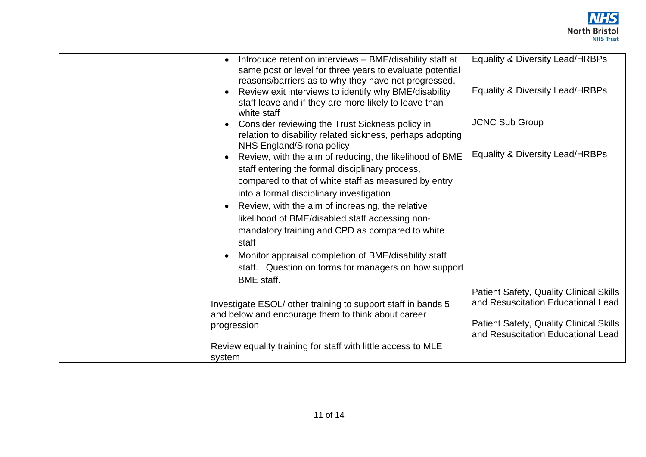

| Introduce retention interviews - BME/disability staff at<br>same post or level for three years to evaluate potential<br>reasons/barriers as to why they have not progressed. | <b>Equality &amp; Diversity Lead/HRBPs</b>                                           |
|------------------------------------------------------------------------------------------------------------------------------------------------------------------------------|--------------------------------------------------------------------------------------|
| Review exit interviews to identify why BME/disability<br>staff leave and if they are more likely to leave than<br>white staff                                                | Equality & Diversity Lead/HRBPs                                                      |
| Consider reviewing the Trust Sickness policy in<br>relation to disability related sickness, perhaps adopting<br>NHS England/Sirona policy                                    | <b>JCNC Sub Group</b>                                                                |
| Review, with the aim of reducing, the likelihood of BME<br>staff entering the formal disciplinary process,                                                                   | <b>Equality &amp; Diversity Lead/HRBPs</b>                                           |
| compared to that of white staff as measured by entry<br>into a formal disciplinary investigation                                                                             |                                                                                      |
| Review, with the aim of increasing, the relative<br>likelihood of BME/disabled staff accessing non-                                                                          |                                                                                      |
| mandatory training and CPD as compared to white<br>staff                                                                                                                     |                                                                                      |
| Monitor appraisal completion of BME/disability staff<br>staff. Question on forms for managers on how support<br><b>BME</b> staff.                                            |                                                                                      |
| Investigate ESOL/ other training to support staff in bands 5<br>and below and encourage them to think about career                                                           | <b>Patient Safety, Quality Clinical Skills</b><br>and Resuscitation Educational Lead |
| progression                                                                                                                                                                  | <b>Patient Safety, Quality Clinical Skills</b><br>and Resuscitation Educational Lead |
| Review equality training for staff with little access to MLE<br>system                                                                                                       |                                                                                      |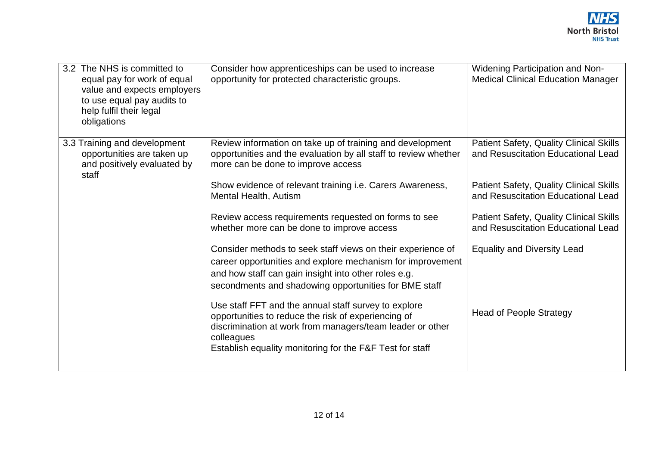| 3.2 The NHS is committed to<br>equal pay for work of equal<br>value and expects employers<br>to use equal pay audits to<br>help fulfil their legal<br>obligations | Consider how apprenticeships can be used to increase<br>opportunity for protected characteristic groups.                                                                                                                                           | <b>Widening Participation and Non-</b><br><b>Medical Clinical Education Manager</b>  |
|-------------------------------------------------------------------------------------------------------------------------------------------------------------------|----------------------------------------------------------------------------------------------------------------------------------------------------------------------------------------------------------------------------------------------------|--------------------------------------------------------------------------------------|
| 3.3 Training and development<br>opportunities are taken up<br>and positively evaluated by<br>staff                                                                | Review information on take up of training and development<br>opportunities and the evaluation by all staff to review whether<br>more can be done to improve access                                                                                 | <b>Patient Safety, Quality Clinical Skills</b><br>and Resuscitation Educational Lead |
|                                                                                                                                                                   | Show evidence of relevant training i.e. Carers Awareness,<br><b>Mental Health, Autism</b>                                                                                                                                                          | <b>Patient Safety, Quality Clinical Skills</b><br>and Resuscitation Educational Lead |
|                                                                                                                                                                   | Review access requirements requested on forms to see<br>whether more can be done to improve access                                                                                                                                                 | <b>Patient Safety, Quality Clinical Skills</b><br>and Resuscitation Educational Lead |
|                                                                                                                                                                   | Consider methods to seek staff views on their experience of<br>career opportunities and explore mechanism for improvement<br>and how staff can gain insight into other roles e.g.<br>secondments and shadowing opportunities for BME staff         | <b>Equality and Diversity Lead</b>                                                   |
|                                                                                                                                                                   | Use staff FFT and the annual staff survey to explore<br>opportunities to reduce the risk of experiencing of<br>discrimination at work from managers/team leader or other<br>colleagues<br>Establish equality monitoring for the F&F Test for staff | <b>Head of People Strategy</b>                                                       |
|                                                                                                                                                                   |                                                                                                                                                                                                                                                    |                                                                                      |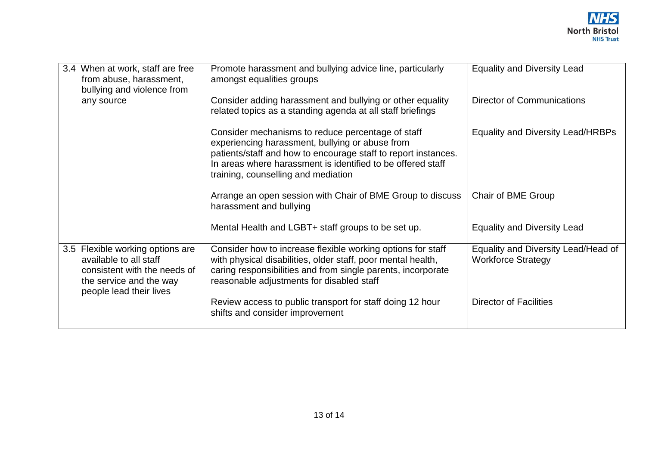| 3.4 When at work, staff are free<br>from abuse, harassment,<br>bullying and violence from                                                        | Promote harassment and bullying advice line, particularly<br>amongst equalities groups                                                                                                                                                                                       | <b>Equality and Diversity Lead</b>                               |
|--------------------------------------------------------------------------------------------------------------------------------------------------|------------------------------------------------------------------------------------------------------------------------------------------------------------------------------------------------------------------------------------------------------------------------------|------------------------------------------------------------------|
| any source                                                                                                                                       | Consider adding harassment and bullying or other equality<br>related topics as a standing agenda at all staff briefings                                                                                                                                                      | <b>Director of Communications</b>                                |
|                                                                                                                                                  | Consider mechanisms to reduce percentage of staff<br>experiencing harassment, bullying or abuse from<br>patients/staff and how to encourage staff to report instances.<br>In areas where harassment is identified to be offered staff<br>training, counselling and mediation | <b>Equality and Diversity Lead/HRBPs</b>                         |
|                                                                                                                                                  | Arrange an open session with Chair of BME Group to discuss<br>harassment and bullying                                                                                                                                                                                        | Chair of BME Group                                               |
|                                                                                                                                                  | Mental Health and LGBT+ staff groups to be set up.                                                                                                                                                                                                                           | <b>Equality and Diversity Lead</b>                               |
| 3.5 Flexible working options are<br>available to all staff<br>consistent with the needs of<br>the service and the way<br>people lead their lives | Consider how to increase flexible working options for staff<br>with physical disabilities, older staff, poor mental health,<br>caring responsibilities and from single parents, incorporate<br>reasonable adjustments for disabled staff                                     | Equality and Diversity Lead/Head of<br><b>Workforce Strategy</b> |
|                                                                                                                                                  | Review access to public transport for staff doing 12 hour<br>shifts and consider improvement                                                                                                                                                                                 | <b>Director of Facilities</b>                                    |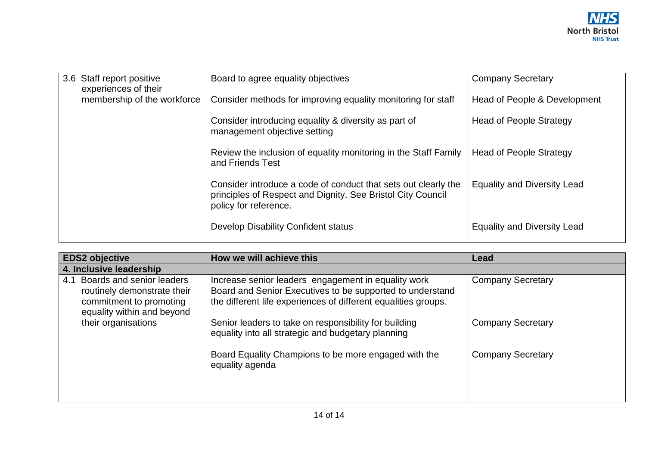|  | 3.6 Staff report positive   | Board to agree equality objectives                              | <b>Company Secretary</b>           |
|--|-----------------------------|-----------------------------------------------------------------|------------------------------------|
|  | experiences of their        |                                                                 |                                    |
|  | membership of the workforce | Consider methods for improving equality monitoring for staff    | Head of People & Development       |
|  |                             |                                                                 |                                    |
|  |                             | Consider introducing equality & diversity as part of            | <b>Head of People Strategy</b>     |
|  |                             | management objective setting                                    |                                    |
|  |                             |                                                                 |                                    |
|  |                             | Review the inclusion of equality monitoring in the Staff Family | <b>Head of People Strategy</b>     |
|  |                             | and Friends Test                                                |                                    |
|  |                             |                                                                 |                                    |
|  |                             | Consider introduce a code of conduct that sets out clearly the  | <b>Equality and Diversity Lead</b> |
|  |                             | principles of Respect and Dignity. See Bristol City Council     |                                    |
|  |                             | policy for reference.                                           |                                    |
|  |                             |                                                                 |                                    |
|  |                             |                                                                 |                                    |
|  |                             | Develop Disability Confident status                             | <b>Equality and Diversity Lead</b> |
|  |                             |                                                                 |                                    |

| <b>EDS2 objective</b>                                                                                                    | How we will achieve this                                                                                                                                                           | Lead                     |  |  |  |  |
|--------------------------------------------------------------------------------------------------------------------------|------------------------------------------------------------------------------------------------------------------------------------------------------------------------------------|--------------------------|--|--|--|--|
| 4. Inclusive leadership                                                                                                  |                                                                                                                                                                                    |                          |  |  |  |  |
| Boards and senior leaders<br>4.1<br>routinely demonstrate their<br>commitment to promoting<br>equality within and beyond | Increase senior leaders engagement in equality work<br>Board and Senior Executives to be supported to understand<br>the different life experiences of different equalities groups. | <b>Company Secretary</b> |  |  |  |  |
| their organisations                                                                                                      | Senior leaders to take on responsibility for building<br>equality into all strategic and budgetary planning                                                                        | <b>Company Secretary</b> |  |  |  |  |
|                                                                                                                          | Board Equality Champions to be more engaged with the<br>equality agenda                                                                                                            | <b>Company Secretary</b> |  |  |  |  |